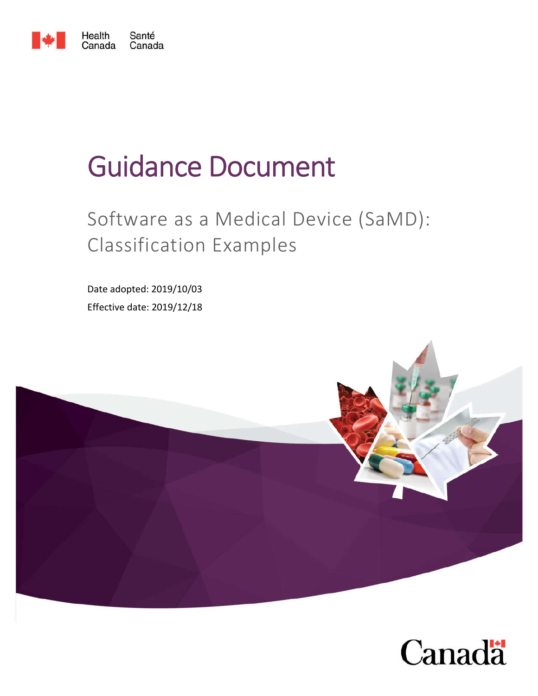

# Guidance Document

## Software as a Medical Device (SaMD): Classification Examples

Date adopted: 2019/10/03 Effective date: 2019/12/18



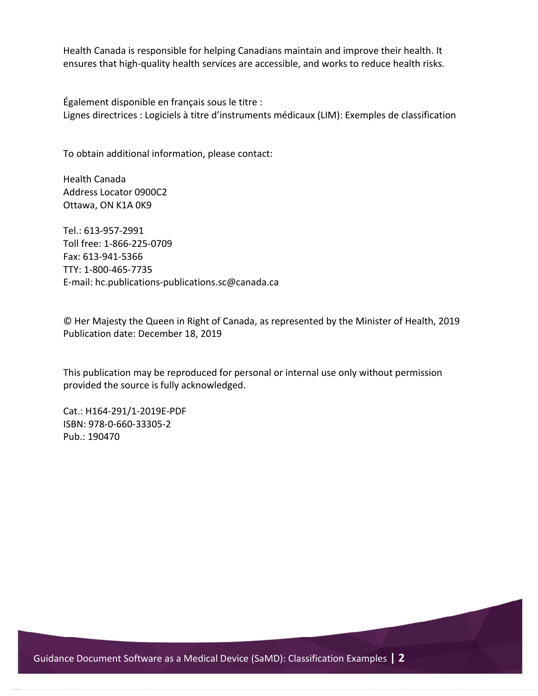Health Canada is responsible for helping Canadians maintain and improve their health. It ensures that high-quality health services are accessible, and works to reduce health risks.

Également disponible en français sous le titre : Lignes directrices : Logiciels à titre d'instruments médicaux (LIM): Exemples de classification

To obtain additional information, please contact:

Health Canada Address Locator 0900C2 Ottawa, ON K1A 0K9

Tel.: 613-957-2991 Toll free: 1-866-225-0709 Fax: 613-941-5366 TTY: 1-800-465-7735 E-mail: hc.publications-publications.sc@canada.ca

© Her Majesty the Queen in Right of Canada, as represented by the Minister of Health, 2019 Publication date: December 18, 2019

This publication may be reproduced for personal or internal use only without permission provided the source is fully acknowledged.

Cat.: H164-291/1-2019E-PDF ISBN: 978-0-660-33305-2 Pub.: 190470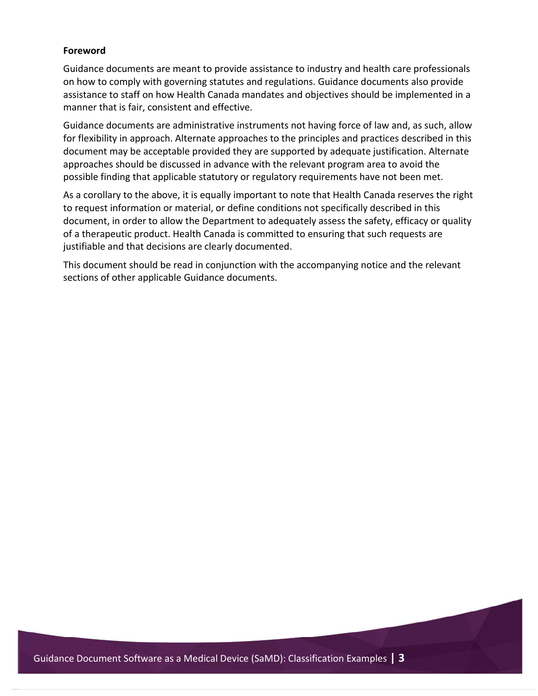#### **Foreword**

Guidance documents are meant to provide assistance to industry and health care professionals on how to comply with governing statutes and regulations. Guidance documents also provide assistance to staff on how Health Canada mandates and objectives should be implemented in a manner that is fair, consistent and effective.

Guidance documents are administrative instruments not having force of law and, as such, allow for flexibility in approach. Alternate approaches to the principles and practices described in this document may be acceptable provided they are supported by adequate justification. Alternate approaches should be discussed in advance with the relevant program area to avoid the possible finding that applicable statutory or regulatory requirements have not been met.

As a corollary to the above, it is equally important to note that Health Canada reserves the right to request information or material, or define conditions not specifically described in this document, in order to allow the Department to adequately assess the safety, efficacy or quality of a therapeutic product. Health Canada is committed to ensuring that such requests are justifiable and that decisions are clearly documented.

This document should be read in conjunction with the accompanying notice and the relevant sections of other applicable Guidance documents.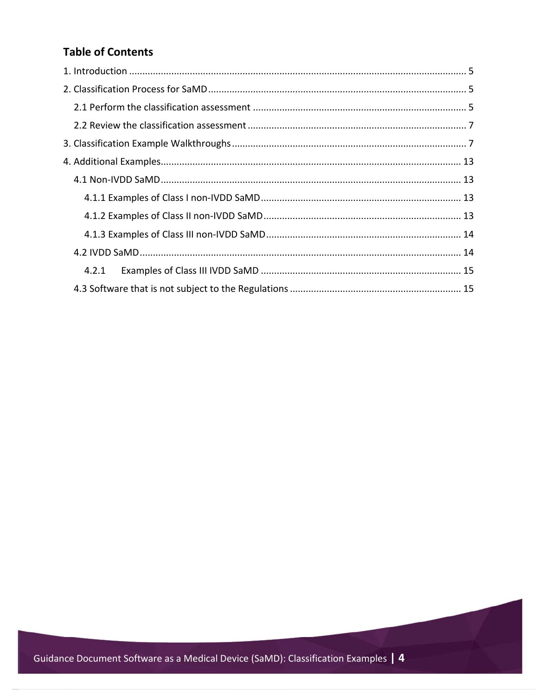#### **Table of Contents**

| 4.2.1 |  |
|-------|--|
|       |  |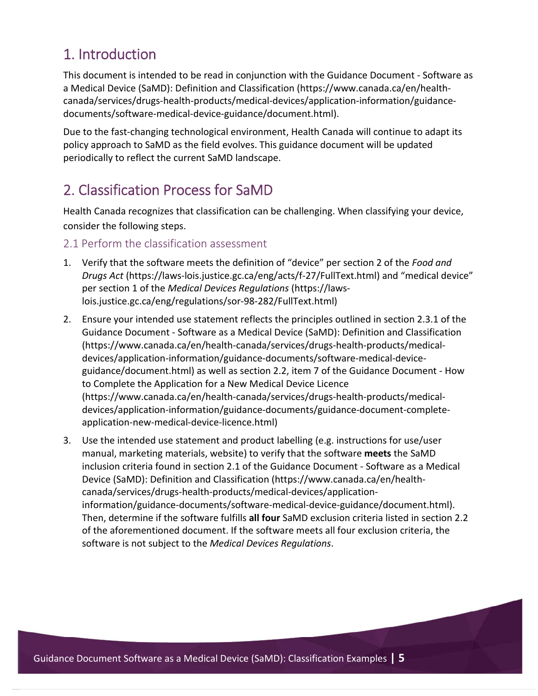## 1. Introduction

This document is intended to be read in conjunction with the Guidance Document - Software as a Medical Device (SaMD): Definition and Classification (https://www.canada.ca/en/healthcanada/services/drugs-health-products/medical-devices/application-information/guidancedocuments/software-medical-device-guidance/document.html).

Due to the fast-changing technological environment, Health Canada will continue to adapt its policy approach to SaMD as the field evolves. This guidance document will be updated periodically to reflect the current SaMD landscape.

## 2. Classification Process for SaMD

Health Canada recognizes that classification can be challenging. When classifying your device, consider the following steps.

#### 2.1 Perform the classification assessment

- 1. Verify that the software meets the definition of "device" per section 2 of the *Food and Drugs Act* (https://laws-lois.justice.gc.ca/eng/acts/f-27/FullText.html) and "medical device" per section 1 of the *Medical Devices Regulations* (https://lawslois.justice.gc.ca/eng/regulations/sor-98-282/FullText.html)
- 2. Ensure your intended use statement reflects the principles outlined in section 2.3.1 of the Guidance Document - Software as a Medical Device (SaMD): Definition and Classification (https://www.canada.ca/en/health-canada/services/drugs-health-products/medicaldevices/application-information/guidance-documents/software-medical-deviceguidance/document.html) as well as section 2.2, item 7 of the Guidance Document - How to Complete the Application for a New Medical Device Licence (https://www.canada.ca/en/health-canada/services/drugs-health-products/medicaldevices/application-information/guidance-documents/guidance-document-completeapplication-new-medical-device-licence.html)
- 3. Use the intended use statement and product labelling (e.g. instructions for use/user manual, marketing materials, website) to verify that the software **meets** the SaMD inclusion criteria found in section 2.1 of the Guidance Document - Software as a Medical Device (SaMD): Definition and Classification (https://www.canada.ca/en/healthcanada/services/drugs-health-products/medical-devices/applicationinformation/guidance-documents/software-medical-device-guidance/document.html). Then, determine if the software fulfills **all four** SaMD exclusion criteria listed in section 2.2 of the aforementioned document. If the software meets all four exclusion criteria, the software is not subject to the *Medical Devices Regulations*.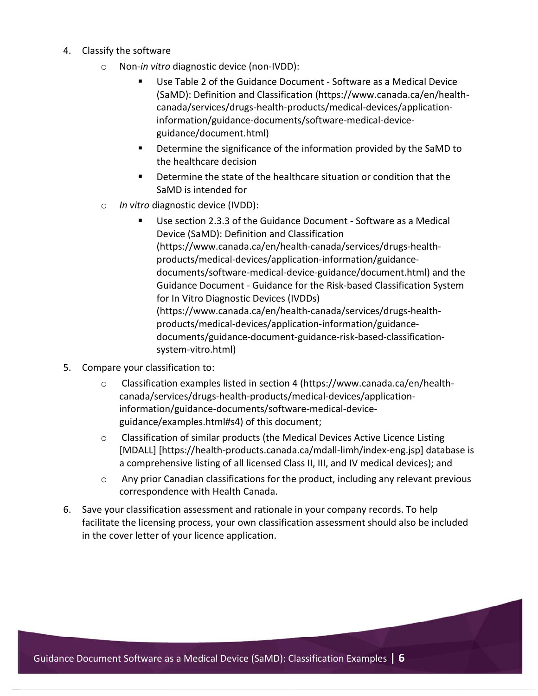- 4. Classify the software
	- o Non-*in vitro* diagnostic device (non-IVDD):
		- Use Table 2 of the Guidance Document Software as a Medical Device (SaMD): Definition and Classification (https://www.canada.ca/en/healthcanada/services/drugs-health-products/medical-devices/applicationinformation/guidance-documents/software-medical-deviceguidance/document.html)
		- **Determine the significance of the information provided by the SaMD to** the healthcare decision
		- Determine the state of the healthcare situation or condition that the SaMD is intended for
	- o *In vitro* diagnostic device (IVDD):
		- Use section 2.3.3 of the Guidance Document Software as a Medical Device (SaMD): Definition and Classification (https://www.canada.ca/en/health-canada/services/drugs-healthproducts/medical-devices/application-information/guidancedocuments/software-medical-device-guidance/document.html) and the Guidance Document - Guidance for the Risk-based Classification System for In Vitro Diagnostic Devices (IVDDs) (https://www.canada.ca/en/health-canada/services/drugs-healthproducts/medical-devices/application-information/guidancedocuments/guidance-document-guidance-risk-based-classificationsystem-vitro.html)
- 5. Compare your classification to:
	- o Classification examples listed in section 4 (https://www.canada.ca/en/healthcanada/services/drugs-health-products/medical-devices/applicationinformation/guidance-documents/software-medical-deviceguidance/examples.html#s4) of this document;
	- o Classification of similar products (the Medical Devices Active Licence Listing [MDALL] [https://health-products.canada.ca/mdall-limh/index-eng.jsp] database is a comprehensive listing of all licensed Class II, III, and IV medical devices); and
	- o Any prior Canadian classifications for the product, including any relevant previous correspondence with Health Canada.
- 6. Save your classification assessment and rationale in your company records. To help facilitate the licensing process, your own classification assessment should also be included in the cover letter of your licence application.

Guidance Document Software as a Medical Device (SaMD): Classification Examples **| 6**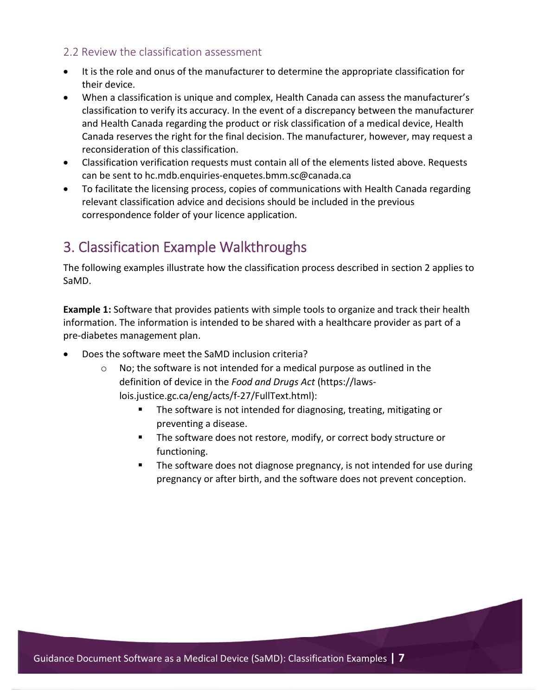#### 2.2 Review the classification assessment

- It is the role and onus of the manufacturer to determine the appropriate classification for their device.
- When a classification is unique and complex, Health Canada can assess the manufacturer's classification to verify its accuracy. In the event of a discrepancy between the manufacturer and Health Canada regarding the product or risk classification of a medical device, Health Canada reserves the right for the final decision. The manufacturer, however, may request a reconsideration of this classification.
- Classification verification requests must contain all of the elements listed above. Requests can be sent to hc.mdb.enquiries-enquetes.bmm.sc@canada.ca
- To facilitate the licensing process, copies of communications with Health Canada regarding relevant classification advice and decisions should be included in the previous correspondence folder of your licence application.

## 3. Classification Example Walkthroughs

The following examples illustrate how the classification process described in section 2 applies to SaMD.

**Example 1:** Software that provides patients with simple tools to organize and track their health information. The information is intended to be shared with a healthcare provider as part of a pre-diabetes management plan.

- Does the software meet the SaMD inclusion criteria?
	- No; the software is not intended for a medical purpose as outlined in the definition of device in the *Food and Drugs Act* (https://lawslois.justice.gc.ca/eng/acts/f-27/FullText.html):
		- **The software is not intended for diagnosing, treating, mitigating or** preventing a disease.
		- **The software does not restore, modify, or correct body structure or** functioning.
		- **The software does not diagnose pregnancy, is not intended for use during** pregnancy or after birth, and the software does not prevent conception.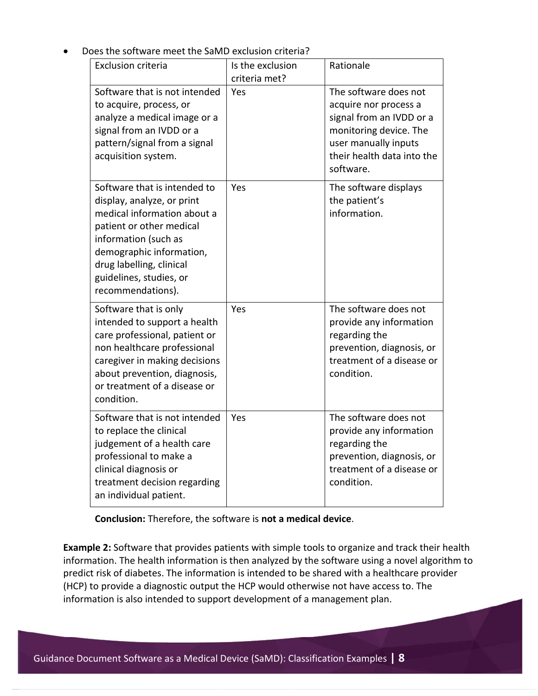| <b>Exclusion criteria</b>                                                                                                                                                                                                                             | Is the exclusion<br>criteria met? | Rationale                                                                                                                                                               |
|-------------------------------------------------------------------------------------------------------------------------------------------------------------------------------------------------------------------------------------------------------|-----------------------------------|-------------------------------------------------------------------------------------------------------------------------------------------------------------------------|
| Software that is not intended<br>to acquire, process, or<br>analyze a medical image or a<br>signal from an IVDD or a<br>pattern/signal from a signal<br>acquisition system.                                                                           | Yes                               | The software does not<br>acquire nor process a<br>signal from an IVDD or a<br>monitoring device. The<br>user manually inputs<br>their health data into the<br>software. |
| Software that is intended to<br>display, analyze, or print<br>medical information about a<br>patient or other medical<br>information (such as<br>demographic information,<br>drug labelling, clinical<br>guidelines, studies, or<br>recommendations). | Yes                               | The software displays<br>the patient's<br>information.                                                                                                                  |
| Software that is only<br>intended to support a health<br>care professional, patient or<br>non healthcare professional<br>caregiver in making decisions<br>about prevention, diagnosis,<br>or treatment of a disease or<br>condition.                  | Yes                               | The software does not<br>provide any information<br>regarding the<br>prevention, diagnosis, or<br>treatment of a disease or<br>condition.                               |
| Software that is not intended<br>to replace the clinical<br>judgement of a health care<br>professional to make a<br>clinical diagnosis or<br>treatment decision regarding<br>an individual patient.                                                   | Yes                               | The software does not<br>provide any information<br>regarding the<br>prevention, diagnosis, or<br>treatment of a disease or<br>condition.                               |

Does the software meet the SaMD exclusion criteria?

**Conclusion:** Therefore, the software is **not a medical device**.

**Example 2:** Software that provides patients with simple tools to organize and track their health information. The health information is then analyzed by the software using a novel algorithm to predict risk of diabetes. The information is intended to be shared with a healthcare provider (HCP) to provide a diagnostic output the HCP would otherwise not have access to. The information is also intended to support development of a management plan.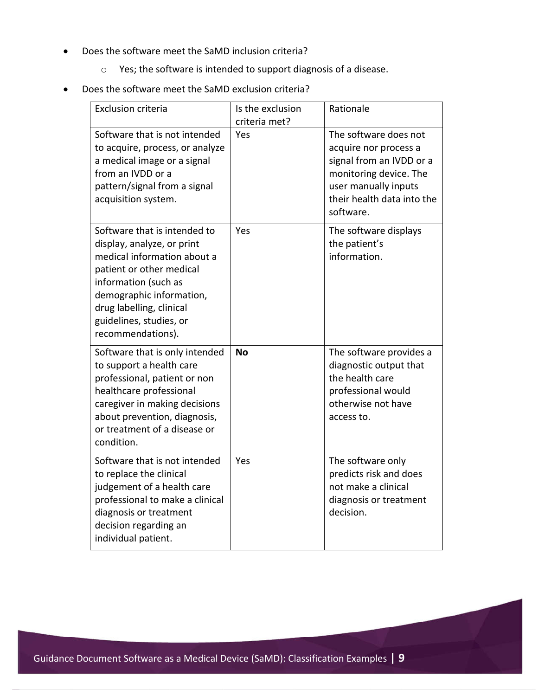- Does the software meet the SaMD inclusion criteria?
	- o Yes; the software is intended to support diagnosis of a disease.

#### Does the software meet the SaMD exclusion criteria?

| <b>Exclusion criteria</b>                                                                                                                                                                                                                             | Is the exclusion<br>criteria met? | Rationale                                                                                                                                                               |
|-------------------------------------------------------------------------------------------------------------------------------------------------------------------------------------------------------------------------------------------------------|-----------------------------------|-------------------------------------------------------------------------------------------------------------------------------------------------------------------------|
| Software that is not intended<br>to acquire, process, or analyze<br>a medical image or a signal<br>from an IVDD or a<br>pattern/signal from a signal<br>acquisition system.                                                                           | Yes                               | The software does not<br>acquire nor process a<br>signal from an IVDD or a<br>monitoring device. The<br>user manually inputs<br>their health data into the<br>software. |
| Software that is intended to<br>display, analyze, or print<br>medical information about a<br>patient or other medical<br>information (such as<br>demographic information,<br>drug labelling, clinical<br>guidelines, studies, or<br>recommendations). | Yes                               | The software displays<br>the patient's<br>information.                                                                                                                  |
| Software that is only intended<br>to support a health care<br>professional, patient or non<br>healthcare professional<br>caregiver in making decisions<br>about prevention, diagnosis,<br>or treatment of a disease or<br>condition.                  | <b>No</b>                         | The software provides a<br>diagnostic output that<br>the health care<br>professional would<br>otherwise not have<br>access to.                                          |
| Software that is not intended<br>to replace the clinical<br>judgement of a health care<br>professional to make a clinical<br>diagnosis or treatment<br>decision regarding an<br>individual patient.                                                   | Yes                               | The software only<br>predicts risk and does<br>not make a clinical<br>diagnosis or treatment<br>decision.                                                               |

Guidance Document Software as a Medical Device (SaMD): Classification Examples **| 9**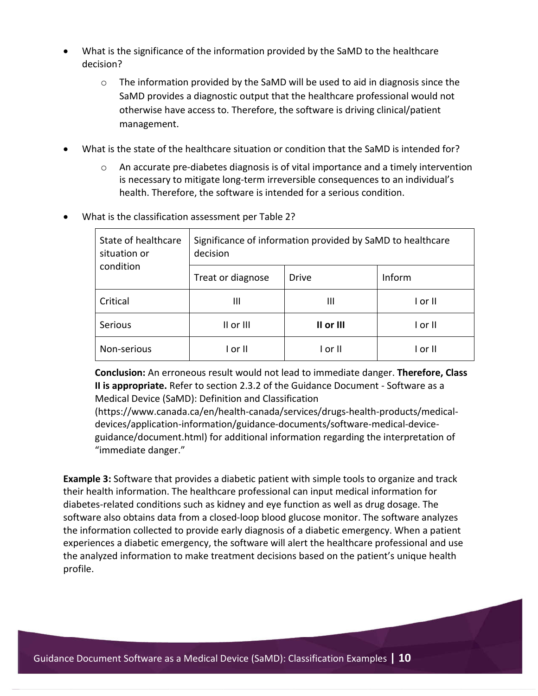- What is the significance of the information provided by the SaMD to the healthcare decision?
	- o The information provided by the SaMD will be used to aid in diagnosis since the SaMD provides a diagnostic output that the healthcare professional would not otherwise have access to. Therefore, the software is driving clinical/patient management.
- What is the state of the healthcare situation or condition that the SaMD is intended for?
	- o An accurate pre-diabetes diagnosis is of vital importance and a timely intervention is necessary to mitigate long-term irreversible consequences to an individual's health. Therefore, the software is intended for a serious condition.

| State of healthcare<br>situation or | Significance of information provided by SaMD to healthcare<br>decision |              |         |
|-------------------------------------|------------------------------------------------------------------------|--------------|---------|
| condition                           | Treat or diagnose                                                      | <b>Drive</b> | Inform  |
| Critical                            | Ш                                                                      | Ш            | I or II |
| <b>Serious</b>                      | $II$ or $III$                                                          | II or III    | I or II |
| Non-serious                         | or II                                                                  | I or II      | l or II |

What is the classification assessment per Table 2?

**Conclusion:** An erroneous result would not lead to immediate danger. **Therefore, Class II is appropriate.** Refer to section 2.3.2 of the Guidance Document - Software as a Medical Device (SaMD): Definition and Classification

(https://www.canada.ca/en/health-canada/services/drugs-health-products/medicaldevices/application-information/guidance-documents/software-medical-deviceguidance/document.html) for additional information regarding the interpretation of "immediate danger."

**Example 3:** Software that provides a diabetic patient with simple tools to organize and track their health information. The healthcare professional can input medical information for diabetes-related conditions such as kidney and eye function as well as drug dosage. The software also obtains data from a closed-loop blood glucose monitor. The software analyzes the information collected to provide early diagnosis of a diabetic emergency. When a patient experiences a diabetic emergency, the software will alert the healthcare professional and use the analyzed information to make treatment decisions based on the patient's unique health profile.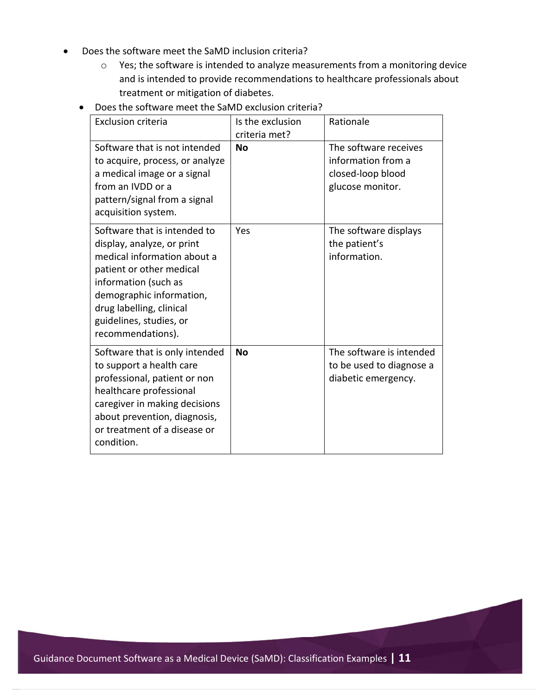- Does the software meet the SaMD inclusion criteria?
	- o Yes; the software is intended to analyze measurements from a monitoring device and is intended to provide recommendations to healthcare professionals about treatment or mitigation of diabetes.
	- Does the software meet the SaMD exclusion criteria?

| <b>Exclusion criteria</b>                                                                                                                                                                                                                             | Is the exclusion<br>criteria met? | Rationale                                                                            |
|-------------------------------------------------------------------------------------------------------------------------------------------------------------------------------------------------------------------------------------------------------|-----------------------------------|--------------------------------------------------------------------------------------|
| Software that is not intended<br>to acquire, process, or analyze<br>a medical image or a signal<br>from an IVDD or a<br>pattern/signal from a signal<br>acquisition system.                                                                           | <b>No</b>                         | The software receives<br>information from a<br>closed-loop blood<br>glucose monitor. |
| Software that is intended to<br>display, analyze, or print<br>medical information about a<br>patient or other medical<br>information (such as<br>demographic information,<br>drug labelling, clinical<br>guidelines, studies, or<br>recommendations). | Yes                               | The software displays<br>the patient's<br>information.                               |
| Software that is only intended<br>to support a health care<br>professional, patient or non<br>healthcare professional<br>caregiver in making decisions<br>about prevention, diagnosis,<br>or treatment of a disease or<br>condition.                  | <b>No</b>                         | The software is intended<br>to be used to diagnose a<br>diabetic emergency.          |

Guidance Document Software as a Medical Device (SaMD): Classification Examples **| 11**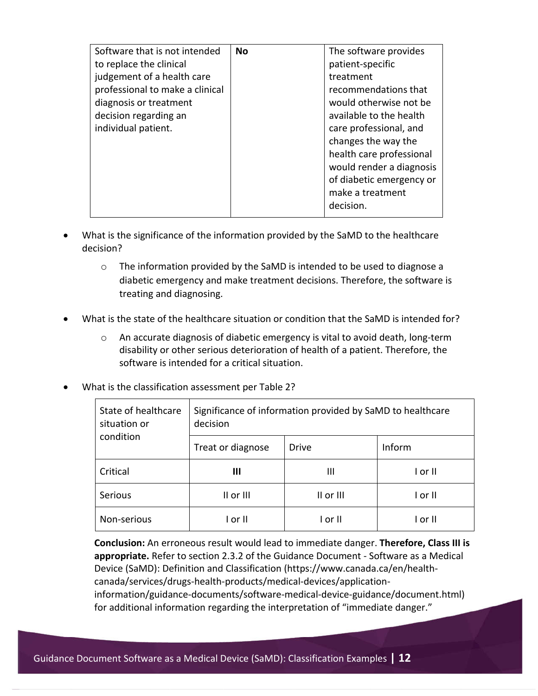| Software that is not intended   | No | The software provides    |
|---------------------------------|----|--------------------------|
| to replace the clinical         |    | patient-specific         |
| judgement of a health care      |    | treatment                |
| professional to make a clinical |    | recommendations that     |
| diagnosis or treatment          |    | would otherwise not be   |
| decision regarding an           |    | available to the health  |
| individual patient.             |    | care professional, and   |
|                                 |    | changes the way the      |
|                                 |    | health care professional |
|                                 |    | would render a diagnosis |
|                                 |    | of diabetic emergency or |
|                                 |    | make a treatment         |
|                                 |    | decision.                |
|                                 |    |                          |

- What is the significance of the information provided by the SaMD to the healthcare decision?
	- $\circ$  The information provided by the SaMD is intended to be used to diagnose a diabetic emergency and make treatment decisions. Therefore, the software is treating and diagnosing.
- What is the state of the healthcare situation or condition that the SaMD is intended for?
	- o An accurate diagnosis of diabetic emergency is vital to avoid death, long-term disability or other serious deterioration of health of a patient. Therefore, the software is intended for a critical situation.
- What is the classification assessment per Table 2?

| State of healthcare<br>situation or<br>condition | Significance of information provided by SaMD to healthcare<br>decision |              |         |
|--------------------------------------------------|------------------------------------------------------------------------|--------------|---------|
|                                                  | Treat or diagnose                                                      | <b>Drive</b> | Inform  |
| Critical                                         | Ш                                                                      | Ш            | I or II |
| <b>Serious</b>                                   | II or III                                                              | II or III    | I or II |
| Non-serious                                      | l or II                                                                | l or II      | l or II |

**Conclusion:** An erroneous result would lead to immediate danger. **Therefore, Class III is appropriate.** Refer to section 2.3.2 of the Guidance Document - Software as a Medical Device (SaMD): Definition and Classification (https://www.canada.ca/en/healthcanada/services/drugs-health-products/medical-devices/applicationinformation/guidance-documents/software-medical-device-guidance/document.html) for additional information regarding the interpretation of "immediate danger."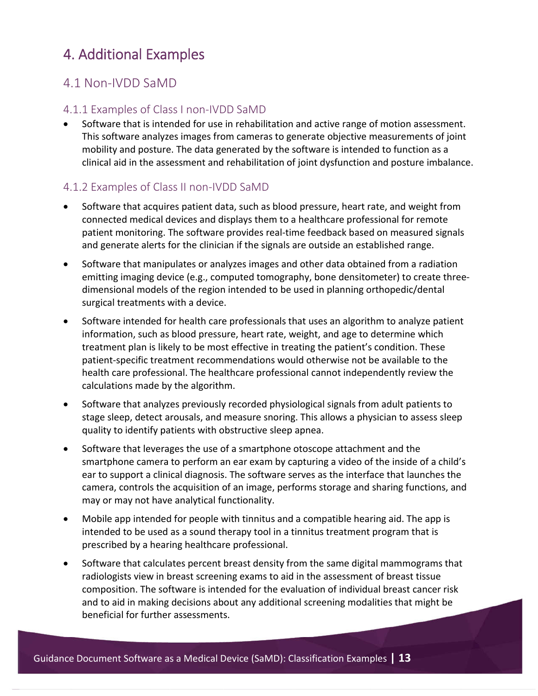## 4. Additional Examples

#### 4.1 Non-IVDD SaMD

#### 4.1.1 Examples of Class I non-IVDD SaMD

 Software that is intended for use in rehabilitation and active range of motion assessment. This software analyzes images from cameras to generate objective measurements of joint mobility and posture. The data generated by the software is intended to function as a clinical aid in the assessment and rehabilitation of joint dysfunction and posture imbalance.

#### 4.1.2 Examples of Class II non-IVDD SaMD

- Software that acquires patient data, such as blood pressure, heart rate, and weight from connected medical devices and displays them to a healthcare professional for remote patient monitoring. The software provides real-time feedback based on measured signals and generate alerts for the clinician if the signals are outside an established range.
- Software that manipulates or analyzes images and other data obtained from a radiation emitting imaging device (e.g., computed tomography, bone densitometer) to create threedimensional models of the region intended to be used in planning orthopedic/dental surgical treatments with a device.
- Software intended for health care professionals that uses an algorithm to analyze patient information, such as blood pressure, heart rate, weight, and age to determine which treatment plan is likely to be most effective in treating the patient's condition. These patient-specific treatment recommendations would otherwise not be available to the health care professional. The healthcare professional cannot independently review the calculations made by the algorithm.
- Software that analyzes previously recorded physiological signals from adult patients to stage sleep, detect arousals, and measure snoring. This allows a physician to assess sleep quality to identify patients with obstructive sleep apnea.
- Software that leverages the use of a smartphone otoscope attachment and the smartphone camera to perform an ear exam by capturing a video of the inside of a child's ear to support a clinical diagnosis. The software serves as the interface that launches the camera, controls the acquisition of an image, performs storage and sharing functions, and may or may not have analytical functionality.
- Mobile app intended for people with tinnitus and a compatible hearing aid. The app is intended to be used as a sound therapy tool in a tinnitus treatment program that is prescribed by a hearing healthcare professional.
- Software that calculates percent breast density from the same digital mammograms that radiologists view in breast screening exams to aid in the assessment of breast tissue composition. The software is intended for the evaluation of individual breast cancer risk and to aid in making decisions about any additional screening modalities that might be beneficial for further assessments.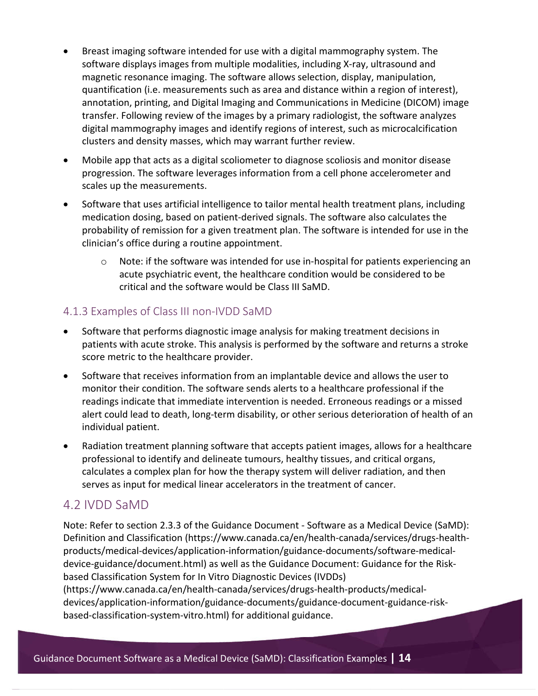- Breast imaging software intended for use with a digital mammography system. The software displays images from multiple modalities, including X-ray, ultrasound and magnetic resonance imaging. The software allows selection, display, manipulation, quantification (i.e. measurements such as area and distance within a region of interest), annotation, printing, and Digital Imaging and Communications in Medicine (DICOM) image transfer. Following review of the images by a primary radiologist, the software analyzes digital mammography images and identify regions of interest, such as microcalcification clusters and density masses, which may warrant further review.
- Mobile app that acts as a digital scoliometer to diagnose scoliosis and monitor disease progression. The software leverages information from a cell phone accelerometer and scales up the measurements.
- Software that uses artificial intelligence to tailor mental health treatment plans, including medication dosing, based on patient-derived signals. The software also calculates the probability of remission for a given treatment plan. The software is intended for use in the clinician's office during a routine appointment.
	- o Note: if the software was intended for use in-hospital for patients experiencing an acute psychiatric event, the healthcare condition would be considered to be critical and the software would be Class III SaMD.

#### 4.1.3 Examples of Class III non-IVDD SaMD

- Software that performs diagnostic image analysis for making treatment decisions in patients with acute stroke. This analysis is performed by the software and returns a stroke score metric to the healthcare provider.
- Software that receives information from an implantable device and allows the user to monitor their condition. The software sends alerts to a healthcare professional if the readings indicate that immediate intervention is needed. Erroneous readings or a missed alert could lead to death, long-term disability, or other serious deterioration of health of an individual patient.
- Radiation treatment planning software that accepts patient images, allows for a healthcare professional to identify and delineate tumours, healthy tissues, and critical organs, calculates a complex plan for how the therapy system will deliver radiation, and then serves as input for medical linear accelerators in the treatment of cancer.

#### 4.2 IVDD SaMD

Note: Refer to section 2.3.3 of the Guidance Document - Software as a Medical Device (SaMD): Definition and Classification (https://www.canada.ca/en/health-canada/services/drugs-healthproducts/medical-devices/application-information/guidance-documents/software-medicaldevice-guidance/document.html) as well as the Guidance Document: Guidance for the Riskbased Classification System for In Vitro Diagnostic Devices (IVDDs) (https://www.canada.ca/en/health-canada/services/drugs-health-products/medical-

devices/application-information/guidance-documents/guidance-document-guidance-riskbased-classification-system-vitro.html) for additional guidance.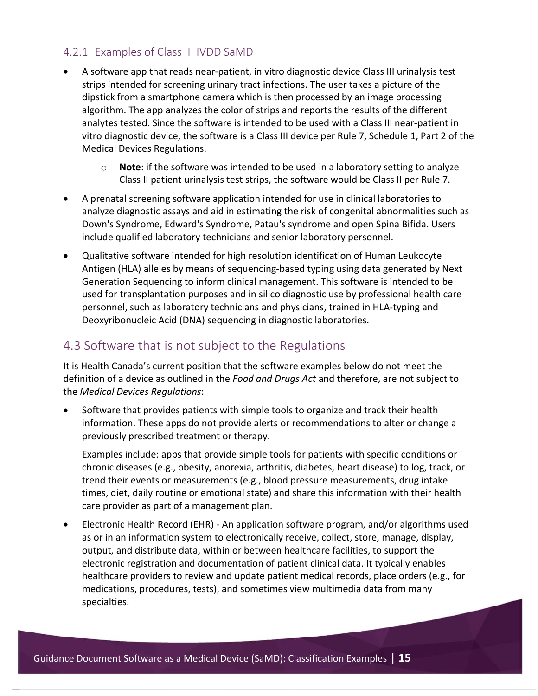#### 4.2.1 Examples of Class III IVDD SaMD

- A software app that reads near-patient, in vitro diagnostic device Class III urinalysis test strips intended for screening urinary tract infections. The user takes a picture of the dipstick from a smartphone camera which is then processed by an image processing algorithm. The app analyzes the color of strips and reports the results of the different analytes tested. Since the software is intended to be used with a Class III near-patient in vitro diagnostic device, the software is a Class III device per Rule 7, Schedule 1, Part 2 of the Medical Devices Regulations.
	- o **Note**: if the software was intended to be used in a laboratory setting to analyze Class II patient urinalysis test strips, the software would be Class II per Rule 7.
- A prenatal screening software application intended for use in clinical laboratories to analyze diagnostic assays and aid in estimating the risk of congenital abnormalities such as Down's Syndrome, Edward's Syndrome, Patau's syndrome and open Spina Bifida. Users include qualified laboratory technicians and senior laboratory personnel.
- Qualitative software intended for high resolution identification of Human Leukocyte Antigen (HLA) alleles by means of sequencing-based typing using data generated by Next Generation Sequencing to inform clinical management. This software is intended to be used for transplantation purposes and in silico diagnostic use by professional health care personnel, such as laboratory technicians and physicians, trained in HLA-typing and Deoxyribonucleic Acid (DNA) sequencing in diagnostic laboratories.

#### 4.3 Software that is not subject to the Regulations

It is Health Canada's current position that the software examples below do not meet the definition of a device as outlined in the *Food and Drugs Act* and therefore, are not subject to the *Medical Devices Regulations*:

 Software that provides patients with simple tools to organize and track their health information. These apps do not provide alerts or recommendations to alter or change a previously prescribed treatment or therapy.

Examples include: apps that provide simple tools for patients with specific conditions or chronic diseases (e.g., obesity, anorexia, arthritis, diabetes, heart disease) to log, track, or trend their events or measurements (e.g., blood pressure measurements, drug intake times, diet, daily routine or emotional state) and share this information with their health care provider as part of a management plan.

 Electronic Health Record (EHR) - An application software program, and/or algorithms used as or in an information system to electronically receive, collect, store, manage, display, output, and distribute data, within or between healthcare facilities, to support the electronic registration and documentation of patient clinical data. It typically enables healthcare providers to review and update patient medical records, place orders (e.g., for medications, procedures, tests), and sometimes view multimedia data from many specialties.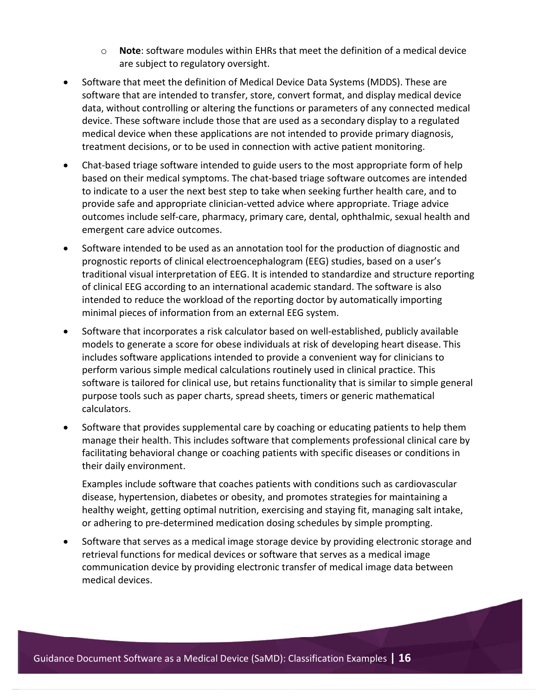- o **Note**: software modules within EHRs that meet the definition of a medical device are subject to regulatory oversight.
- Software that meet the definition of Medical Device Data Systems (MDDS). These are software that are intended to transfer, store, convert format, and display medical device data, without controlling or altering the functions or parameters of any connected medical device. These software include those that are used as a secondary display to a regulated medical device when these applications are not intended to provide primary diagnosis, treatment decisions, or to be used in connection with active patient monitoring.
- Chat-based triage software intended to guide users to the most appropriate form of help based on their medical symptoms. The chat-based triage software outcomes are intended to indicate to a user the next best step to take when seeking further health care, and to provide safe and appropriate clinician-vetted advice where appropriate. Triage advice outcomes include self-care, pharmacy, primary care, dental, ophthalmic, sexual health and emergent care advice outcomes.
- Software intended to be used as an annotation tool for the production of diagnostic and prognostic reports of clinical electroencephalogram (EEG) studies, based on a user's traditional visual interpretation of EEG. It is intended to standardize and structure reporting of clinical EEG according to an international academic standard. The software is also intended to reduce the workload of the reporting doctor by automatically importing minimal pieces of information from an external EEG system.
- Software that incorporates a risk calculator based on well-established, publicly available models to generate a score for obese individuals at risk of developing heart disease. This includes software applications intended to provide a convenient way for clinicians to perform various simple medical calculations routinely used in clinical practice. This software is tailored for clinical use, but retains functionality that is similar to simple general purpose tools such as paper charts, spread sheets, timers or generic mathematical calculators.
- Software that provides supplemental care by coaching or educating patients to help them manage their health. This includes software that complements professional clinical care by facilitating behavioral change or coaching patients with specific diseases or conditions in their daily environment.

Examples include software that coaches patients with conditions such as cardiovascular disease, hypertension, diabetes or obesity, and promotes strategies for maintaining a healthy weight, getting optimal nutrition, exercising and staying fit, managing salt intake, or adhering to pre-determined medication dosing schedules by simple prompting.

 Software that serves as a medical image storage device by providing electronic storage and retrieval functions for medical devices or software that serves as a medical image communication device by providing electronic transfer of medical image data between medical devices.